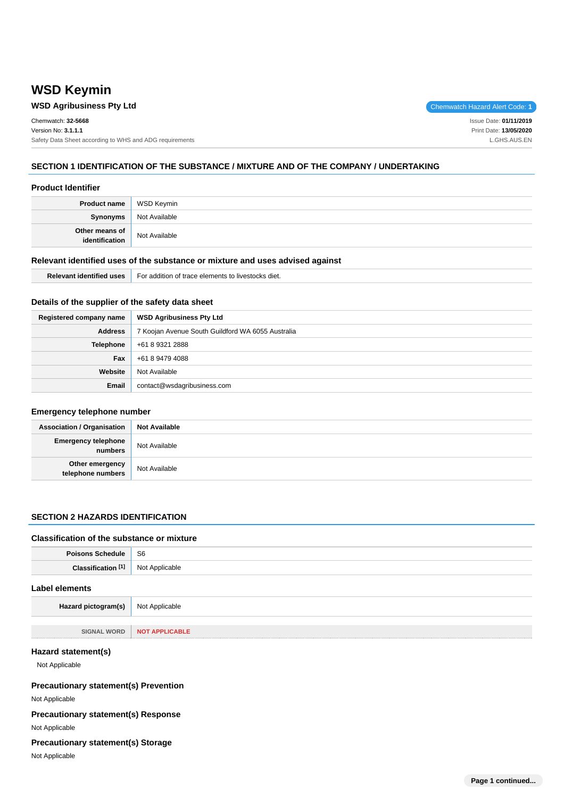# **WSD Keymin**

# **WSD Agribusiness Pty Ltd Chemwatch Hazard Alert Code: 1**

| Chemwatch: 32-5668                                      | Issue Date: 01/11/2019 |
|---------------------------------------------------------|------------------------|
| Version No: 3.1.1.1                                     | Print Date: 13/05/2020 |
| Safety Data Sheet according to WHS and ADG requirements | L.GHS.AUS.EN           |
|                                                         |                        |

# **SECTION 1 IDENTIFICATION OF THE SUBSTANCE / MIXTURE AND OF THE COMPANY / UNDERTAKING**

#### **Product Identifier**

| Product name                     | WSD Keymin    |
|----------------------------------|---------------|
| Synonyms                         | Not Available |
| Other means of<br>identification | Not Available |

#### **Relevant identified uses of the substance or mixture and uses advised against**

| .<br>™alevant <sub>u</sub><br>d uses<br>: Identified | For addition of trace elements to livestocks diet. |
|------------------------------------------------------|----------------------------------------------------|
|------------------------------------------------------|----------------------------------------------------|

## **Details of the supplier of the safety data sheet**

| Registered company name | <b>WSD Agribusiness Pty Ltd</b>                   |
|-------------------------|---------------------------------------------------|
| <b>Address</b>          | 7 Koojan Avenue South Guildford WA 6055 Australia |
| <b>Telephone</b>        | +61 8 9321 2888                                   |
| Fax                     | +61 8 9479 4088                                   |
| Website                 | Not Available                                     |
| Email                   | contact@wsdagribusiness.com                       |

#### **Emergency telephone number**

| <b>Association / Organisation</b>     | <b>Not Available</b> |
|---------------------------------------|----------------------|
| <b>Emergency telephone</b><br>numbers | Not Available        |
| Other emergency<br>telephone numbers  | Not Available        |

# **SECTION 2 HAZARDS IDENTIFICATION**

#### **Classification of the substance or mixture**

| Poisons Schedule   S6         |                |
|-------------------------------|----------------|
| Classification <sup>[1]</sup> | Not Applicable |
| Label elements                |                |

**Hazard pictogram(s)** Not Applicable

**SIGNAL WORD NOT APPLICABLE**

#### **Hazard statement(s)**

Not Applicable

#### **Precautionary statement(s) Prevention**

Not Applicable

## **Precautionary statement(s) Response**

# Not Applicable

# **Precautionary statement(s) Storage**

Not Applicable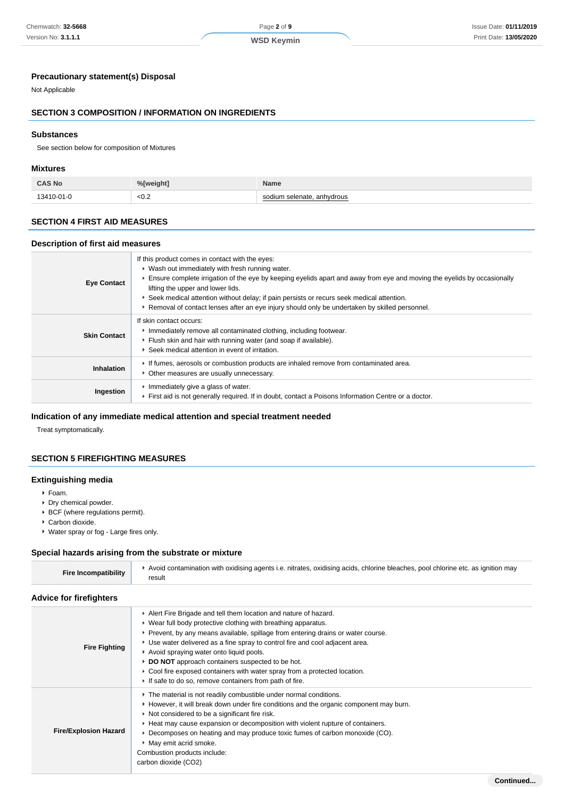#### Chemwatch: **32-5668** Version No: **3.1.1.1**

# Page **2** of **9**

# **WSD Keymin**

# **Precautionary statement(s) Disposal**

Not Applicable

# **SECTION 3 COMPOSITION / INFORMATION ON INGREDIENTS**

# **Substances**

See section below for composition of Mixtures

# **Mixtures**

| <b>CAS No</b>    | $M$ Mainht | Name      |
|------------------|------------|-----------|
| $13410 - 01 - 0$ | < 0.2      | anhydrous |

## **SECTION 4 FIRST AID MEASURES**

#### **Description of first aid measures**

| <b>Eye Contact</b>  | If this product comes in contact with the eyes:<br>• Wash out immediately with fresh running water.<br>Ensure complete irrigation of the eye by keeping eyelids apart and away from eye and moving the eyelids by occasionally<br>lifting the upper and lower lids.<br>▶ Seek medical attention without delay; if pain persists or recurs seek medical attention.<br>► Removal of contact lenses after an eye injury should only be undertaken by skilled personnel. |
|---------------------|----------------------------------------------------------------------------------------------------------------------------------------------------------------------------------------------------------------------------------------------------------------------------------------------------------------------------------------------------------------------------------------------------------------------------------------------------------------------|
| <b>Skin Contact</b> | If skin contact occurs:<br>Immediately remove all contaminated clothing, including footwear.<br>Flush skin and hair with running water (and soap if available).<br>Seek medical attention in event of irritation.                                                                                                                                                                                                                                                    |
| <b>Inhalation</b>   | If fumes, aerosols or combustion products are inhaled remove from contaminated area.<br>• Other measures are usually unnecessary.                                                                                                                                                                                                                                                                                                                                    |
| Ingestion           | Immediately give a glass of water.<br>First aid is not generally required. If in doubt, contact a Poisons Information Centre or a doctor.                                                                                                                                                                                                                                                                                                                            |

## **Indication of any immediate medical attention and special treatment needed**

Treat symptomatically.

## **SECTION 5 FIREFIGHTING MEASURES**

#### **Extinguishing media**

- Foam.
- ▶ Dry chemical powder.
- BCF (where regulations permit).
- Carbon dioxide.
- Water spray or fog Large fires only.

#### **Special hazards arising from the substrate or mixture**

| <b>Fire Incompatibility</b>    | Avoid contamination with oxidising agents i.e. nitrates, oxidising acids, chlorine bleaches, pool chlorine etc. as ignition may<br>result |
|--------------------------------|-------------------------------------------------------------------------------------------------------------------------------------------|
| <b>Advice for firefighters</b> |                                                                                                                                           |

| <b>Fire Fighting</b>         | Alert Fire Brigade and tell them location and nature of hazard.<br>• Wear full body protective clothing with breathing apparatus.<br>▶ Prevent, by any means available, spillage from entering drains or water course.<br>► Use water delivered as a fine spray to control fire and cool adjacent area.<br>Avoid spraying water onto liquid pools.<br>DO NOT approach containers suspected to be hot.<br>• Cool fire exposed containers with water spray from a protected location.<br>If safe to do so, remove containers from path of fire. |
|------------------------------|-----------------------------------------------------------------------------------------------------------------------------------------------------------------------------------------------------------------------------------------------------------------------------------------------------------------------------------------------------------------------------------------------------------------------------------------------------------------------------------------------------------------------------------------------|
| <b>Fire/Explosion Hazard</b> | The material is not readily combustible under normal conditions.<br>► However, it will break down under fire conditions and the organic component may burn.<br>$\triangleright$ Not considered to be a significant fire risk.<br>► Heat may cause expansion or decomposition with violent rupture of containers.<br>▶ Decomposes on heating and may produce toxic fumes of carbon monoxide (CO).<br>• May emit acrid smoke.<br>Combustion products include:<br>carbon dioxide (CO2)                                                           |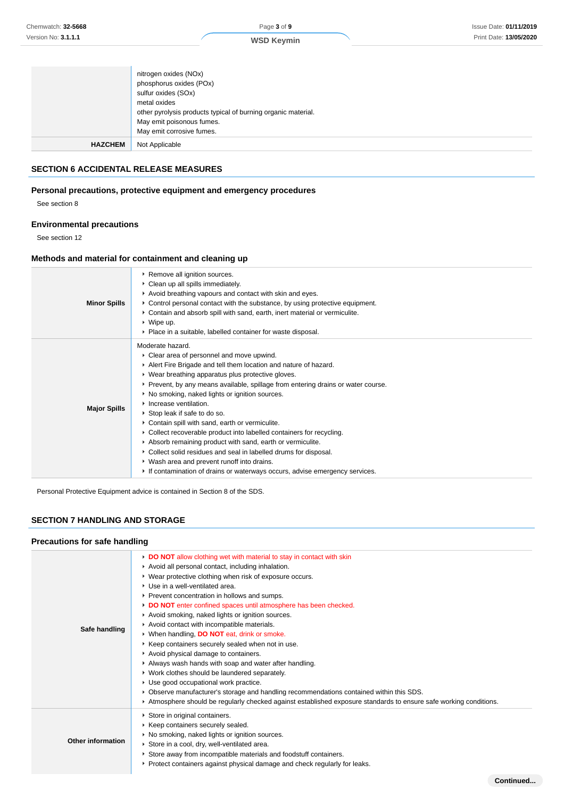**Continued...**

|                | nitrogen oxides (NOx)<br>phosphorus oxides (POx)<br>sulfur oxides (SOx)<br>metal oxides<br>other pyrolysis products typical of burning organic material. |
|----------------|----------------------------------------------------------------------------------------------------------------------------------------------------------|
|                | May emit poisonous fumes.<br>May emit corrosive fumes.                                                                                                   |
| <b>HAZCHEM</b> | Not Applicable                                                                                                                                           |

## **SECTION 6 ACCIDENTAL RELEASE MEASURES**

## **Personal precautions, protective equipment and emergency procedures**

See section 8

# **Environmental precautions**

See section 12

## **Methods and material for containment and cleaning up**

| <b>Minor Spills</b> | ▶ Remove all ignition sources.<br>• Clean up all spills immediately.<br>Avoid breathing vapours and contact with skin and eyes.<br>► Control personal contact with the substance, by using protective equipment.<br>► Contain and absorb spill with sand, earth, inert material or vermiculite.<br>$\triangleright$ Wipe up.<br>• Place in a suitable, labelled container for waste disposal.                                                                                                                                                                                                                                                                                                                                                                                           |
|---------------------|-----------------------------------------------------------------------------------------------------------------------------------------------------------------------------------------------------------------------------------------------------------------------------------------------------------------------------------------------------------------------------------------------------------------------------------------------------------------------------------------------------------------------------------------------------------------------------------------------------------------------------------------------------------------------------------------------------------------------------------------------------------------------------------------|
| <b>Major Spills</b> | Moderate hazard.<br>• Clear area of personnel and move upwind.<br>Alert Fire Brigade and tell them location and nature of hazard.<br>• Wear breathing apparatus plus protective gloves.<br>► Prevent, by any means available, spillage from entering drains or water course.<br>• No smoking, naked lights or ignition sources.<br>• Increase ventilation.<br>▶ Stop leak if safe to do so.<br>• Contain spill with sand, earth or vermiculite.<br>• Collect recoverable product into labelled containers for recycling.<br>Absorb remaining product with sand, earth or vermiculite.<br>▶ Collect solid residues and seal in labelled drums for disposal.<br>• Wash area and prevent runoff into drains.<br>If contamination of drains or waterways occurs, advise emergency services. |

Personal Protective Equipment advice is contained in Section 8 of the SDS.

# **SECTION 7 HANDLING AND STORAGE**

## **Precautions for safe handling**

| DO NOT allow clothing wet with material to stay in contact with skin<br>Avoid all personal contact, including inhalation.<br>▶ Wear protective clothing when risk of exposure occurs.<br>▶ Use in a well-ventilated area.<br>Prevent concentration in hollows and sumps.<br>DO NOT enter confined spaces until atmosphere has been checked.<br>Avoid smoking, naked lights or ignition sources.<br>Avoid contact with incompatible materials.<br>▶ When handling, DO NOT eat, drink or smoke.<br>▶ Keep containers securely sealed when not in use.<br>Avoid physical damage to containers.<br>Always wash hands with soap and water after handling.<br>▶ Work clothes should be laundered separately.<br>Use good occupational work practice.<br>▶ Observe manufacturer's storage and handling recommendations contained within this SDS.<br>▶ Atmosphere should be regularly checked against established exposure standards to ensure safe working conditions. |
|------------------------------------------------------------------------------------------------------------------------------------------------------------------------------------------------------------------------------------------------------------------------------------------------------------------------------------------------------------------------------------------------------------------------------------------------------------------------------------------------------------------------------------------------------------------------------------------------------------------------------------------------------------------------------------------------------------------------------------------------------------------------------------------------------------------------------------------------------------------------------------------------------------------------------------------------------------------|
| Store in original containers.<br>▶ Keep containers securely sealed.<br>▶ No smoking, naked lights or ignition sources.<br>Store in a cool, dry, well-ventilated area.<br>Store away from incompatible materials and foodstuff containers.<br>► Protect containers against physical damage and check regularly for leaks.                                                                                                                                                                                                                                                                                                                                                                                                                                                                                                                                                                                                                                         |
|                                                                                                                                                                                                                                                                                                                                                                                                                                                                                                                                                                                                                                                                                                                                                                                                                                                                                                                                                                  |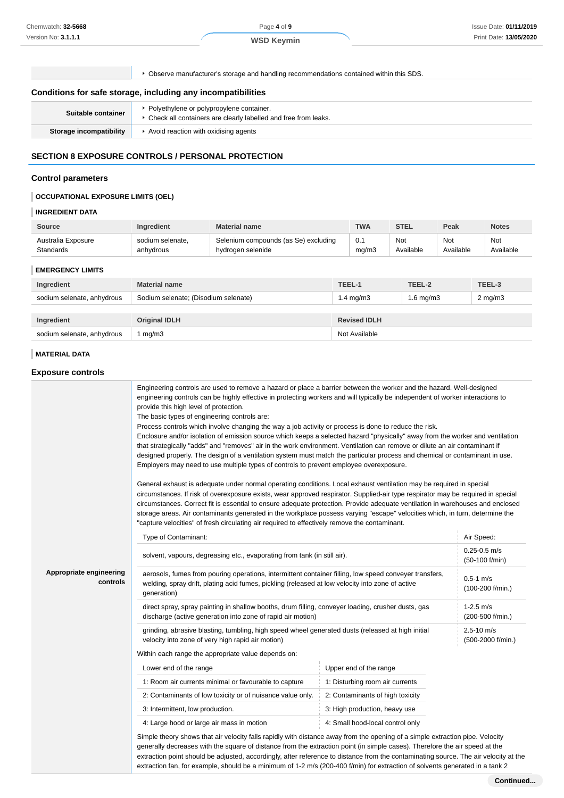Page **4** of **9**

Observe manufacturer's storage and handling recommendations contained within this SDS.

#### **Conditions for safe storage, including any incompatibilities**

| Suitable container      | Polyethylene or polypropylene container.<br>Check all containers are clearly labelled and free from leaks. |
|-------------------------|------------------------------------------------------------------------------------------------------------|
| Storage incompatibility | Avoid reaction with oxidising agents                                                                       |

#### **SECTION 8 EXPOSURE CONTROLS / PERSONAL PROTECTION**

#### **Control parameters**

## **OCCUPATIONAL EXPOSURE LIMITS (OEL)**

## **INGREDIENT DATA**

| <b>Source</b>      | <b>Ingredient</b> | <b>Material name</b>                 | TWA   | <b>STEL</b> | Peak      | <b>Notes</b> |
|--------------------|-------------------|--------------------------------------|-------|-------------|-----------|--------------|
| Australia Exposure | sodium selenate.  | Selenium compounds (as Se) excluding | mq/m3 | Not         | Not       | Not          |
| Standards          | anhydrous         | hydrogen selenide                    |       | Available   | Available | Available    |

## **EMERGENCY LIMITS**

| Ingredient                 | <b>Material name</b>                 | TEEL-1               | TEEL-2         | TEEL-3             |
|----------------------------|--------------------------------------|----------------------|----------------|--------------------|
| sodium selenate, anhydrous | Sodium selenate; (Disodium selenate) | $1.4 \text{ ma/m}$ 3 | $1.6$ mg/m $3$ | $2 \text{ mg/m}$ 3 |
|                            |                                      |                      |                |                    |
| Ingredient                 | <b>Original IDLH</b>                 | <b>Revised IDLH</b>  |                |                    |
| sodium selenate, anhydrous | mg/m3                                | Not Available        |                |                    |

#### **MATERIAL DATA**

#### **Exposure controls**

|                                     | Engineering controls are used to remove a hazard or place a barrier between the worker and the hazard. Well-designed<br>engineering controls can be highly effective in protecting workers and will typically be independent of worker interactions to<br>provide this high level of protection.<br>The basic types of engineering controls are:<br>Process controls which involve changing the way a job activity or process is done to reduce the risk.<br>Enclosure and/or isolation of emission source which keeps a selected hazard "physically" away from the worker and ventilation<br>that strategically "adds" and "removes" air in the work environment. Ventilation can remove or dilute an air contaminant if<br>designed properly. The design of a ventilation system must match the particular process and chemical or contaminant in use.<br>Employers may need to use multiple types of controls to prevent employee overexposure.<br>General exhaust is adequate under normal operating conditions. Local exhaust ventilation may be required in special<br>circumstances. If risk of overexposure exists, wear approved respirator. Supplied-air type respirator may be required in special<br>circumstances. Correct fit is essential to ensure adequate protection. Provide adequate ventilation in warehouses and enclosed<br>storage areas. Air contaminants generated in the workplace possess varying "escape" velocities which, in turn, determine the<br>"capture velocities" of fresh circulating air required to effectively remove the contaminant. |                                  |                                     |
|-------------------------------------|----------------------------------------------------------------------------------------------------------------------------------------------------------------------------------------------------------------------------------------------------------------------------------------------------------------------------------------------------------------------------------------------------------------------------------------------------------------------------------------------------------------------------------------------------------------------------------------------------------------------------------------------------------------------------------------------------------------------------------------------------------------------------------------------------------------------------------------------------------------------------------------------------------------------------------------------------------------------------------------------------------------------------------------------------------------------------------------------------------------------------------------------------------------------------------------------------------------------------------------------------------------------------------------------------------------------------------------------------------------------------------------------------------------------------------------------------------------------------------------------------------------------------------------------------------------------------------|----------------------------------|-------------------------------------|
|                                     | Type of Contaminant:                                                                                                                                                                                                                                                                                                                                                                                                                                                                                                                                                                                                                                                                                                                                                                                                                                                                                                                                                                                                                                                                                                                                                                                                                                                                                                                                                                                                                                                                                                                                                             |                                  | Air Speed:                          |
|                                     | solvent, vapours, degreasing etc., evaporating from tank (in still air).                                                                                                                                                                                                                                                                                                                                                                                                                                                                                                                                                                                                                                                                                                                                                                                                                                                                                                                                                                                                                                                                                                                                                                                                                                                                                                                                                                                                                                                                                                         |                                  | $0.25 - 0.5$ m/s<br>(50-100 f/min)  |
| Appropriate engineering<br>controls | aerosols, fumes from pouring operations, intermittent container filling, low speed conveyer transfers,<br>$0.5 - 1$ m/s<br>welding, spray drift, plating acid fumes, pickling (released at low velocity into zone of active<br>(100-200 f/min.)<br>generation)                                                                                                                                                                                                                                                                                                                                                                                                                                                                                                                                                                                                                                                                                                                                                                                                                                                                                                                                                                                                                                                                                                                                                                                                                                                                                                                   |                                  |                                     |
|                                     | direct spray, spray painting in shallow booths, drum filling, conveyer loading, crusher dusts, gas<br>discharge (active generation into zone of rapid air motion)                                                                                                                                                                                                                                                                                                                                                                                                                                                                                                                                                                                                                                                                                                                                                                                                                                                                                                                                                                                                                                                                                                                                                                                                                                                                                                                                                                                                                |                                  | $1-2.5$ m/s<br>(200-500 f/min.)     |
|                                     | grinding, abrasive blasting, tumbling, high speed wheel generated dusts (released at high initial<br>velocity into zone of very high rapid air motion)<br>Within each range the appropriate value depends on:                                                                                                                                                                                                                                                                                                                                                                                                                                                                                                                                                                                                                                                                                                                                                                                                                                                                                                                                                                                                                                                                                                                                                                                                                                                                                                                                                                    |                                  | $2.5 - 10$ m/s<br>(500-2000 f/min.) |
|                                     | Lower end of the range                                                                                                                                                                                                                                                                                                                                                                                                                                                                                                                                                                                                                                                                                                                                                                                                                                                                                                                                                                                                                                                                                                                                                                                                                                                                                                                                                                                                                                                                                                                                                           | Upper end of the range           |                                     |
|                                     | 1: Room air currents minimal or favourable to capture                                                                                                                                                                                                                                                                                                                                                                                                                                                                                                                                                                                                                                                                                                                                                                                                                                                                                                                                                                                                                                                                                                                                                                                                                                                                                                                                                                                                                                                                                                                            | 1: Disturbing room air currents  |                                     |
|                                     | 2: Contaminants of low toxicity or of nuisance value only.                                                                                                                                                                                                                                                                                                                                                                                                                                                                                                                                                                                                                                                                                                                                                                                                                                                                                                                                                                                                                                                                                                                                                                                                                                                                                                                                                                                                                                                                                                                       | 2: Contaminants of high toxicity |                                     |
|                                     | 3: Intermittent, low production.                                                                                                                                                                                                                                                                                                                                                                                                                                                                                                                                                                                                                                                                                                                                                                                                                                                                                                                                                                                                                                                                                                                                                                                                                                                                                                                                                                                                                                                                                                                                                 | 3: High production, heavy use    |                                     |
|                                     | 4: Large hood or large air mass in motion                                                                                                                                                                                                                                                                                                                                                                                                                                                                                                                                                                                                                                                                                                                                                                                                                                                                                                                                                                                                                                                                                                                                                                                                                                                                                                                                                                                                                                                                                                                                        | 4: Small hood-local control only |                                     |
|                                     | Simple theory shows that air velocity falls rapidly with distance away from the opening of a simple extraction pipe. Velocity<br>generally decreases with the square of distance from the extraction point (in simple cases). Therefore the air speed at the<br>extraction point should be adjusted, accordingly, after reference to distance from the contaminating source. The air velocity at the<br>extraction fan, for example, should be a minimum of 1-2 m/s (200-400 f/min) for extraction of solvents generated in a tank 2                                                                                                                                                                                                                                                                                                                                                                                                                                                                                                                                                                                                                                                                                                                                                                                                                                                                                                                                                                                                                                             |                                  |                                     |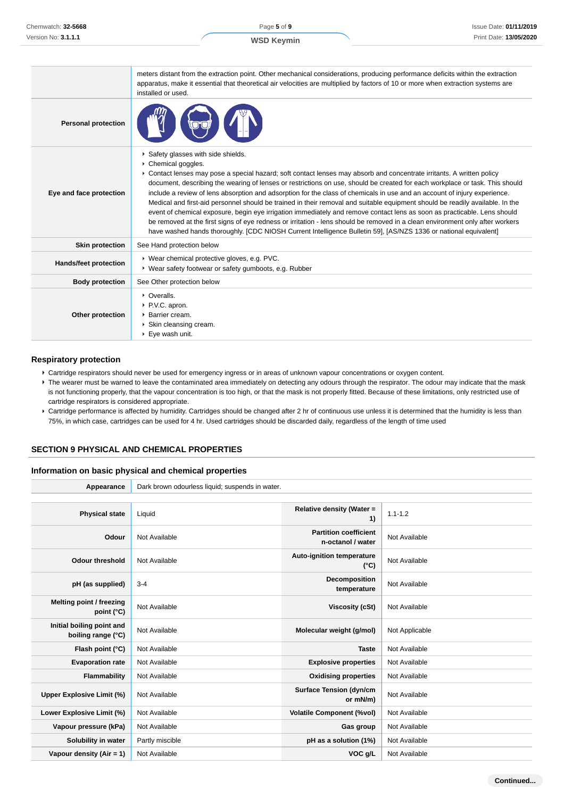|                              | meters distant from the extraction point. Other mechanical considerations, producing performance deficits within the extraction<br>apparatus, make it essential that theoretical air velocities are multiplied by factors of 10 or more when extraction systems are<br>installed or used.                                                                                                                                                                                                                                                                                                                                                                                                                                                                                                                                                                                                                                                                       |
|------------------------------|-----------------------------------------------------------------------------------------------------------------------------------------------------------------------------------------------------------------------------------------------------------------------------------------------------------------------------------------------------------------------------------------------------------------------------------------------------------------------------------------------------------------------------------------------------------------------------------------------------------------------------------------------------------------------------------------------------------------------------------------------------------------------------------------------------------------------------------------------------------------------------------------------------------------------------------------------------------------|
| <b>Personal protection</b>   |                                                                                                                                                                                                                                                                                                                                                                                                                                                                                                                                                                                                                                                                                                                                                                                                                                                                                                                                                                 |
| Eye and face protection      | Safety glasses with side shields.<br>Chemical goggles.<br>► Contact lenses may pose a special hazard; soft contact lenses may absorb and concentrate irritants. A written policy<br>document, describing the wearing of lenses or restrictions on use, should be created for each workplace or task. This should<br>include a review of lens absorption and adsorption for the class of chemicals in use and an account of injury experience.<br>Medical and first-aid personnel should be trained in their removal and suitable equipment should be readily available. In the<br>event of chemical exposure, begin eye irrigation immediately and remove contact lens as soon as practicable. Lens should<br>be removed at the first signs of eye redness or irritation - lens should be removed in a clean environment only after workers<br>have washed hands thoroughly. [CDC NIOSH Current Intelligence Bulletin 59], [AS/NZS 1336 or national equivalent] |
| <b>Skin protection</b>       | See Hand protection below                                                                                                                                                                                                                                                                                                                                                                                                                                                                                                                                                                                                                                                                                                                                                                                                                                                                                                                                       |
| <b>Hands/feet protection</b> | ▶ Wear chemical protective gloves, e.g. PVC.<br>▶ Wear safety footwear or safety gumboots, e.g. Rubber                                                                                                                                                                                                                                                                                                                                                                                                                                                                                                                                                                                                                                                                                                                                                                                                                                                          |
| <b>Body protection</b>       | See Other protection below                                                                                                                                                                                                                                                                                                                                                                                                                                                                                                                                                                                                                                                                                                                                                                                                                                                                                                                                      |
| Other protection             | • Overalls.<br>▶ P.V.C. apron.<br>▶ Barrier cream.<br>▶ Skin cleansing cream.<br>▶ Eye wash unit.                                                                                                                                                                                                                                                                                                                                                                                                                                                                                                                                                                                                                                                                                                                                                                                                                                                               |

#### **Respiratory protection**

- Cartridge respirators should never be used for emergency ingress or in areas of unknown vapour concentrations or oxygen content.
- ▶ The wearer must be warned to leave the contaminated area immediately on detecting any odours through the respirator. The odour may indicate that the mask is not functioning properly, that the vapour concentration is too high, or that the mask is not properly fitted. Because of these limitations, only restricted use of cartridge respirators is considered appropriate.
- ▶ Cartridge performance is affected by humidity. Cartridges should be changed after 2 hr of continuous use unless it is determined that the humidity is less than 75%, in which case, cartridges can be used for 4 hr. Used cartridges should be discarded daily, regardless of the length of time used

#### **SECTION 9 PHYSICAL AND CHEMICAL PROPERTIES**

## **Information on basic physical and chemical properties**

| Appearance                                      | Dark brown odourless liquid; suspends in water. |                                                   |                |
|-------------------------------------------------|-------------------------------------------------|---------------------------------------------------|----------------|
|                                                 |                                                 |                                                   |                |
| <b>Physical state</b>                           | Liquid                                          | Relative density (Water =<br>1)                   | $1.1 - 1.2$    |
| Odour                                           | Not Available                                   | <b>Partition coefficient</b><br>n-octanol / water | Not Available  |
| <b>Odour threshold</b>                          | Not Available                                   | Auto-ignition temperature<br>$(^{\circ}C)$        | Not Available  |
| pH (as supplied)                                | $3 - 4$                                         | Decomposition<br>temperature                      | Not Available  |
| Melting point / freezing<br>point (°C)          | Not Available                                   | Viscosity (cSt)                                   | Not Available  |
| Initial boiling point and<br>boiling range (°C) | Not Available                                   | Molecular weight (g/mol)                          | Not Applicable |
| Flash point (°C)                                | Not Available                                   | <b>Taste</b>                                      | Not Available  |
| <b>Evaporation rate</b>                         | Not Available                                   | <b>Explosive properties</b>                       | Not Available  |
| Flammability                                    | Not Available                                   | <b>Oxidising properties</b>                       | Not Available  |
| <b>Upper Explosive Limit (%)</b>                | Not Available                                   | <b>Surface Tension (dyn/cm</b><br>or mN/m)        | Not Available  |
| Lower Explosive Limit (%)                       | Not Available                                   | <b>Volatile Component (%vol)</b>                  | Not Available  |
| Vapour pressure (kPa)                           | Not Available                                   | Gas group                                         | Not Available  |
| Solubility in water                             | Partly miscible                                 | pH as a solution (1%)                             | Not Available  |
| Vapour density $(Air = 1)$                      | Not Available                                   | VOC g/L                                           | Not Available  |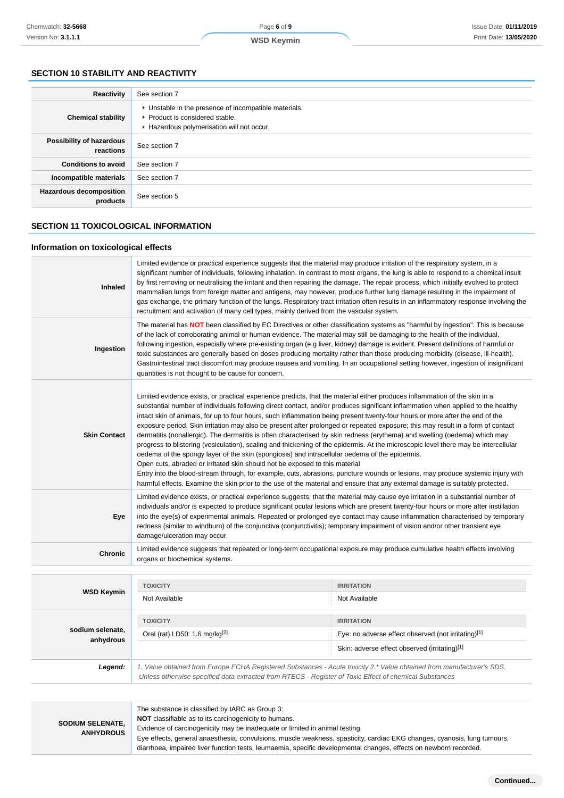# Page **6** of **9**

## **WSD Keymin**

# **SECTION 10 STABILITY AND REACTIVITY**

| Reactivity                                 | See section 7                                                                                                                        |
|--------------------------------------------|--------------------------------------------------------------------------------------------------------------------------------------|
| <b>Chemical stability</b>                  | • Unstable in the presence of incompatible materials.<br>▶ Product is considered stable.<br>Hazardous polymerisation will not occur. |
| Possibility of hazardous<br>reactions      | See section 7                                                                                                                        |
| <b>Conditions to avoid</b>                 | See section 7                                                                                                                        |
| Incompatible materials                     | See section 7                                                                                                                        |
| <b>Hazardous decomposition</b><br>products | See section 5                                                                                                                        |

## **SECTION 11 TOXICOLOGICAL INFORMATION**

#### **Information on toxicological effects**

| <b>Inhaled</b>      | Limited evidence or practical experience suggests that the material may produce irritation of the respiratory system, in a<br>significant number of individuals, following inhalation. In contrast to most organs, the lung is able to respond to a chemical insult<br>by first removing or neutralising the irritant and then repairing the damage. The repair process, which initially evolved to protect<br>mammalian lungs from foreign matter and antigens, may however, produce further lung damage resulting in the impairment of<br>gas exchange, the primary function of the lungs. Respiratory tract irritation often results in an inflammatory response involving the<br>recruitment and activation of many cell types, mainly derived from the vascular system.                                                                                                                                                                                                                                                                                                                                                                                                                                                                                |                                                                                                                            |  |  |
|---------------------|-------------------------------------------------------------------------------------------------------------------------------------------------------------------------------------------------------------------------------------------------------------------------------------------------------------------------------------------------------------------------------------------------------------------------------------------------------------------------------------------------------------------------------------------------------------------------------------------------------------------------------------------------------------------------------------------------------------------------------------------------------------------------------------------------------------------------------------------------------------------------------------------------------------------------------------------------------------------------------------------------------------------------------------------------------------------------------------------------------------------------------------------------------------------------------------------------------------------------------------------------------------|----------------------------------------------------------------------------------------------------------------------------|--|--|
| Ingestion           | The material has NOT been classified by EC Directives or other classification systems as "harmful by ingestion". This is because<br>of the lack of corroborating animal or human evidence. The material may still be damaging to the health of the individual,<br>following ingestion, especially where pre-existing organ (e.g liver, kidney) damage is evident. Present definitions of harmful or<br>toxic substances are generally based on doses producing mortality rather than those producing morbidity (disease, ill-health).<br>Gastrointestinal tract discomfort may produce nausea and vomiting. In an occupational setting however, ingestion of insignificant<br>quantities is not thought to be cause for concern.                                                                                                                                                                                                                                                                                                                                                                                                                                                                                                                            |                                                                                                                            |  |  |
| <b>Skin Contact</b> | Limited evidence exists, or practical experience predicts, that the material either produces inflammation of the skin in a<br>substantial number of individuals following direct contact, and/or produces significant inflammation when applied to the healthy<br>intact skin of animals, for up to four hours, such inflammation being present twenty-four hours or more after the end of the<br>exposure period. Skin irritation may also be present after prolonged or repeated exposure; this may result in a form of contact<br>dermatitis (nonallergic). The dermatitis is often characterised by skin redness (erythema) and swelling (oedema) which may<br>progress to blistering (vesiculation), scaling and thickening of the epidermis. At the microscopic level there may be intercellular<br>oedema of the spongy layer of the skin (spongiosis) and intracellular oedema of the epidermis.<br>Open cuts, abraded or irritated skin should not be exposed to this material<br>Entry into the blood-stream through, for example, cuts, abrasions, puncture wounds or lesions, may produce systemic injury with<br>harmful effects. Examine the skin prior to the use of the material and ensure that any external damage is suitably protected. |                                                                                                                            |  |  |
| Eye                 | Limited evidence exists, or practical experience suggests, that the material may cause eye irritation in a substantial number of<br>individuals and/or is expected to produce significant ocular lesions which are present twenty-four hours or more after instillation<br>into the eye(s) of experimental animals. Repeated or prolonged eye contact may cause inflammation characterised by temporary<br>redness (similar to windburn) of the conjunctiva (conjunctivitis); temporary impairment of vision and/or other transient eye<br>damage/ulceration may occur.                                                                                                                                                                                                                                                                                                                                                                                                                                                                                                                                                                                                                                                                                     |                                                                                                                            |  |  |
| <b>Chronic</b>      | organs or biochemical systems.                                                                                                                                                                                                                                                                                                                                                                                                                                                                                                                                                                                                                                                                                                                                                                                                                                                                                                                                                                                                                                                                                                                                                                                                                              | Limited evidence suggests that repeated or long-term occupational exposure may produce cumulative health effects involving |  |  |
| <b>WSD Keymin</b>   | <b>TOXICITY</b><br>Alot Available                                                                                                                                                                                                                                                                                                                                                                                                                                                                                                                                                                                                                                                                                                                                                                                                                                                                                                                                                                                                                                                                                                                                                                                                                           | <b>IRRITATION</b><br>Not Available                                                                                         |  |  |

|                               | 1900111                                                                                                                                                                                                                         | INNIJAIJUN                                          |  |
|-------------------------------|---------------------------------------------------------------------------------------------------------------------------------------------------------------------------------------------------------------------------------|-----------------------------------------------------|--|
| <b>WSD Keymin</b>             | Not Available                                                                                                                                                                                                                   | Not Available                                       |  |
|                               |                                                                                                                                                                                                                                 |                                                     |  |
|                               | <b>TOXICITY</b>                                                                                                                                                                                                                 | <b>IRRITATION</b>                                   |  |
| sodium selenate.<br>anhydrous | Oral (rat) LD50: 1.6 mg/kg <sup>[2]</sup>                                                                                                                                                                                       | Eye: no adverse effect observed (not irritating)[1] |  |
|                               |                                                                                                                                                                                                                                 | Skin: adverse effect observed (irritating)[1]       |  |
| Legend:                       | 1. Value obtained from Europe ECHA Registered Substances - Acute toxicity 2.* Value obtained from manufacturer's SDS.<br>Unless otherwise specified data extracted from RTECS - Register of Toxic Effect of chemical Substances |                                                     |  |

| <b>SODIUM SELENATE.</b><br><b>ANHYDROUS</b> | The substance is classified by IARC as Group 3:<br>NOT classifiable as to its carcinogenicity to humans.<br>Evidence of carcinogenicity may be inadequate or limited in animal testing.<br>Eye effects, general anaesthesia, convulsions, muscle weakness, spasticity, cardiac EKG changes, cyanosis, lung tumours,<br>diarrhoea, impaired liver function tests, leumaemia, specific developmental changes, effects on newborn recorded. |
|---------------------------------------------|------------------------------------------------------------------------------------------------------------------------------------------------------------------------------------------------------------------------------------------------------------------------------------------------------------------------------------------------------------------------------------------------------------------------------------------|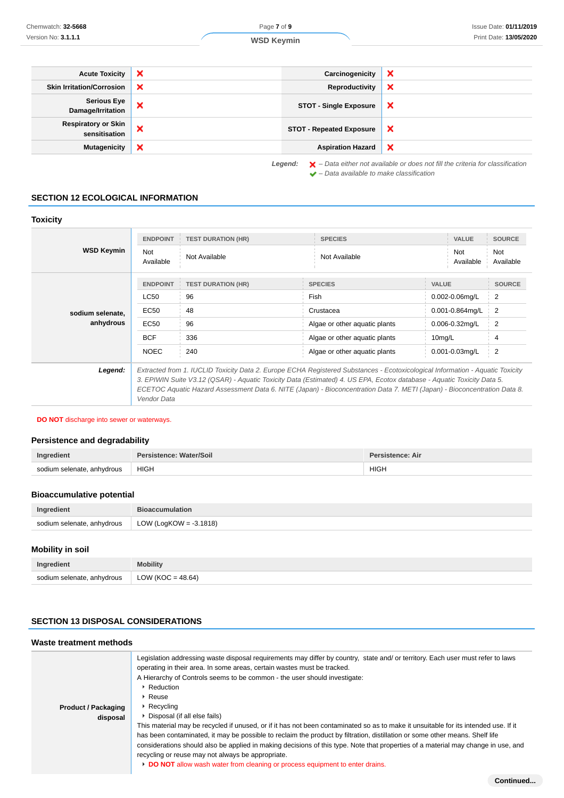Not Available

| <b>Acute Toxicity</b>                       | $\boldsymbol{\mathsf{x}}$ | Carcinogenicity                 | ×                         |
|---------------------------------------------|---------------------------|---------------------------------|---------------------------|
| <b>Skin Irritation/Corrosion</b>            | $\boldsymbol{\mathsf{x}}$ | Reproductivity                  | ×                         |
| <b>Serious Eye</b><br>Damage/Irritation     | $\boldsymbol{\mathsf{x}}$ | <b>STOT - Single Exposure</b>   | ×                         |
| <b>Respiratory or Skin</b><br>sensitisation | ×                         | <b>STOT - Repeated Exposure</b> | $\boldsymbol{\mathsf{x}}$ |
| <b>Mutagenicity</b>                         | ×                         | <b>Aspiration Hazard</b>        | ×                         |

 $\blacktriangleright$  – Data available to make classification

**SECTION 12 ECOLOGICAL INFORMATION**

#### **Toxicity WSD Keymin ENDPOINT TEST DURATION (HR) SPECIES VALUE SOURCE** Not Not<br>Available Not Available Not Available Not Available Ava<br>Ava Available **sodium selenate, anhydrous ENDPOINT TEST DURATION (HR) SPECIES VALUE SOURCE** LC50 96 Fish 0.002-0.06mg/L 2  $EC50$  48 Crustacea 0.001-0.864mg/L 2 EC50 96 Algae or other aquatic plants 0.006-0.32mg/L 2 BCF 336 Algae or other aquatic plants 10mg/L 4 NOEC 240 Algae or other aquatic plants 0.001-0.03mg/L 2 **Legend:** Extracted from 1. IUCLID Toxicity Data 2. Europe ECHA Registered Substances - Ecotoxicological Information - Aquatic Toxicity 3. EPIWIN Suite V3.12 (QSAR) - Aquatic Toxicity Data (Estimated) 4. US EPA, Ecotox database - Aquatic Toxicity Data 5. ECETOC Aquatic Hazard Assessment Data 6. NITE (Japan) - Bioconcentration Data 7. METI (Japan) - Bioconcentration Data 8.

Vendor Data

#### **DO NOT** discharge into sewer or waterways.

## **Persistence and degradability**

| Ingredient                 | Persistence: Water/Soil | Persistence: Air    |  |
|----------------------------|-------------------------|---------------------|--|
| sodium selenate, anhydrous | <b>HIGH</b>             | <b>HIGH</b><br>____ |  |

# **Bioaccumulative potential**

| Ingredient                 | <b>Bioaccumulation</b>    |  |
|----------------------------|---------------------------|--|
| sodium selenate, anhydrous | LOW (LogKOW = $-3.1818$ ) |  |

# **Mobility in soil**

| Ingredient                 | <b>Mobility</b>     |
|----------------------------|---------------------|
| sodium selenate, anhydrous | $LOW (KOC = 48.64)$ |

# **SECTION 13 DISPOSAL CONSIDERATIONS**

## **Waste treatment methods**

| <b>Product / Packaging</b><br>disposal |
|----------------------------------------|
|----------------------------------------|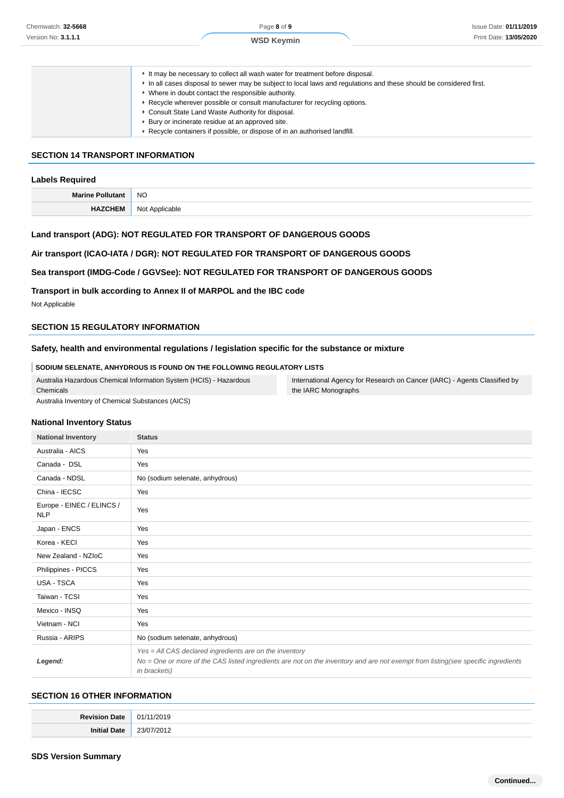#### **SECTION 14 TRANSPORT INFORMATION**

#### **Labels Required**

| Marine | <b>NO</b>    |
|--------|--------------|
|        | N∩<br>⊾ר<br> |

#### **Land transport (ADG): NOT REGULATED FOR TRANSPORT OF DANGEROUS GOODS**

## **Air transport (ICAO-IATA / DGR): NOT REGULATED FOR TRANSPORT OF DANGEROUS GOODS**

#### **Sea transport (IMDG-Code / GGVSee): NOT REGULATED FOR TRANSPORT OF DANGEROUS GOODS**

**Transport in bulk according to Annex II of MARPOL and the IBC code**

Not Applicable

#### **SECTION 15 REGULATORY INFORMATION**

#### **Safety, health and environmental regulations / legislation specific for the substance or mixture**

**SODIUM SELENATE, ANHYDROUS IS FOUND ON THE FOLLOWING REGULATORY LISTS**

Australia Hazardous Chemical Information System (HCIS) - Hazardous Chemicals

Australia Inventory of Chemical Substances (AICS)

International Agency for Research on Cancer (IARC) - Agents Classified by the IARC Monographs

#### **National Inventory Status**

| <b>National Inventory</b>               | <b>Status</b>                                                                                                                                                                                               |  |
|-----------------------------------------|-------------------------------------------------------------------------------------------------------------------------------------------------------------------------------------------------------------|--|
| Australia - AICS                        | Yes                                                                                                                                                                                                         |  |
| Canada - DSL                            | Yes                                                                                                                                                                                                         |  |
| Canada - NDSL                           | No (sodium selenate, anhydrous)                                                                                                                                                                             |  |
| China - IECSC                           | Yes                                                                                                                                                                                                         |  |
| Europe - EINEC / ELINCS /<br><b>NLP</b> | Yes                                                                                                                                                                                                         |  |
| Japan - ENCS                            | Yes                                                                                                                                                                                                         |  |
| Korea - KECI                            | Yes                                                                                                                                                                                                         |  |
| New Zealand - NZIoC                     | Yes                                                                                                                                                                                                         |  |
| Philippines - PICCS                     | Yes                                                                                                                                                                                                         |  |
| USA - TSCA                              | Yes                                                                                                                                                                                                         |  |
| Taiwan - TCSI                           | Yes                                                                                                                                                                                                         |  |
| Mexico - INSQ                           | Yes                                                                                                                                                                                                         |  |
| Vietnam - NCI                           | Yes                                                                                                                                                                                                         |  |
| Russia - ARIPS                          | No (sodium selenate, anhydrous)                                                                                                                                                                             |  |
| Legend:                                 | Yes = All CAS declared ingredients are on the inventory<br>No = One or more of the CAS listed ingredients are not on the inventory and are not exempt from listing(see specific ingredients<br>in brackets) |  |

#### **SECTION 16 OTHER INFORMATION**

| <b>D</b> avenue |  |
|-----------------|--|
| Ini<br>י הר     |  |